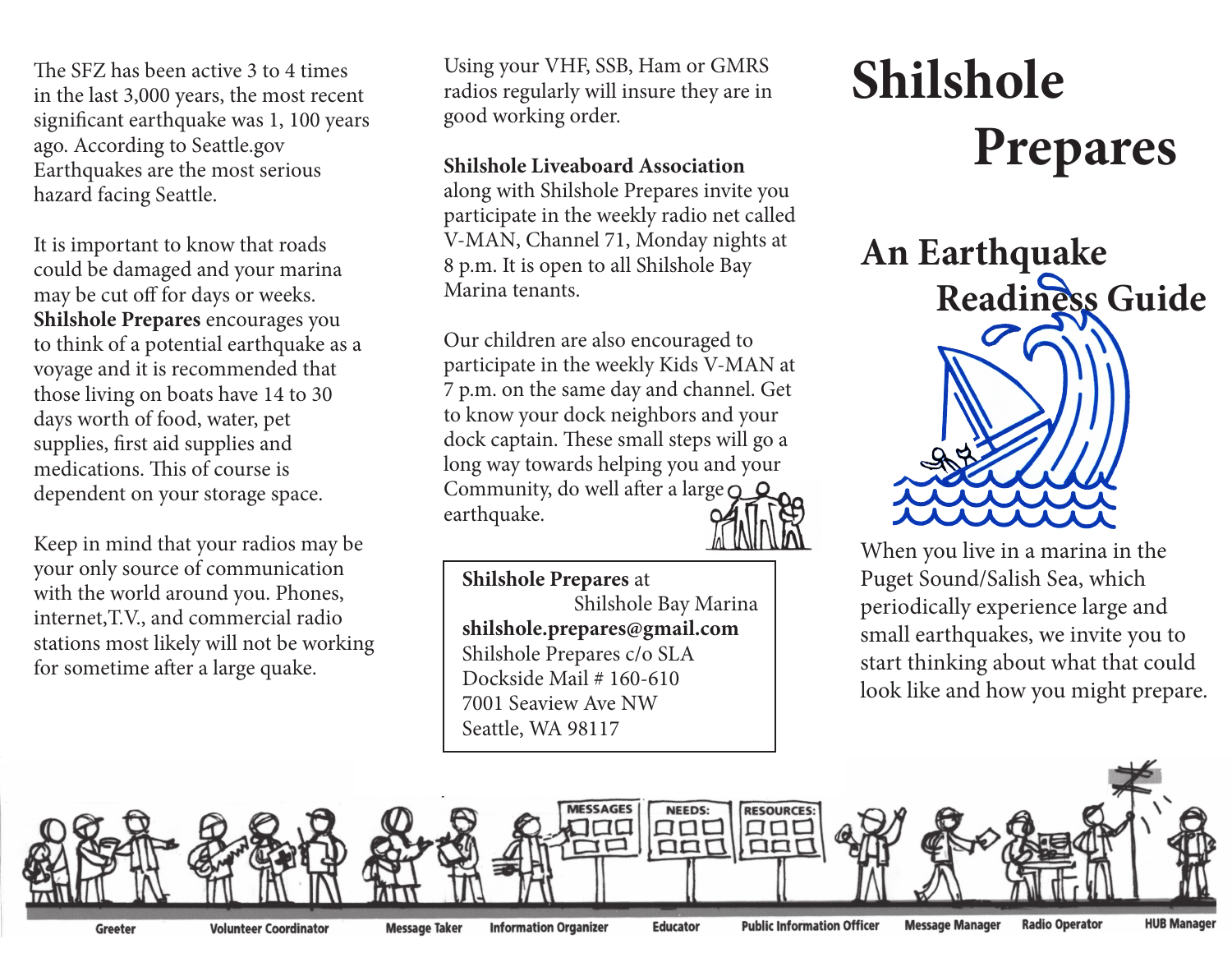The SFZ has been active 3 to 4 times in the last 3,000 years, the most recent significant earthquake was 1, 100 years ago. According to Seattle.gov Earthquakes are the most serious hazard facing Seattle.

It is important to know that roads could be damaged and your marina may be cut off for days or weeks. **Shilshole Prepares** encourages you to think of a potential earthquake as a voyage and it is recommended that those living on boats have 14 to 30 days worth of food, water, pet supplies, first aid supplies and medications. This of course is dependent on your storage space.

Keep in mind that your radios may be your only source of communication with the world around you. Phones, internet,T.V., and commercial radio stations most likely will not be working for sometime after a large quake.

Using your VHF, SSB, Ham or GMRS radios regularly will insure they are in good working order.

## **Shilshole Liveaboard Association**

along with Shilshole Prepares invite you participate in the weekly radio net called V-MAN, Channel 71, Monday nights at 8 p.m. It is open to all Shilshole Bay Marina tenants.

Our children are also encouraged to participate in the weekly Kids V-MAN at 7 p.m. on the same day and channel. Get to know your dock neighbors and your dock captain. These small steps will go a long way towards helping you and your Community, do well after a large  $\bigcirc$   $\bigcirc$ earthquake.

**Shilshole Prepares** at Shilshole Bay Marina **shilshole.prepares@gmail.com** Shilshole Prepares c/o SLA Dockside Mail # 160-610 7001 Seaview Ave NW Seattle, WA 98117

## **Shilshole Prepares**



When you live in a marina in the Puget Sound/Salish Sea, which periodically experience large and small earthquakes, we invite you to start thinking about what that could look like and how you might prepare.



**Volunteer Coordinator** 

**Information Organizer** 

**Educator** 

**Public Information Officer**